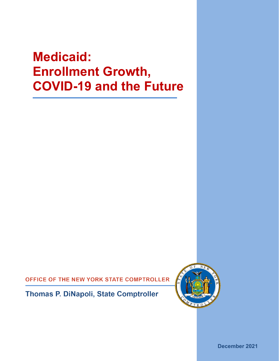# **Medicaid: Enrollment Growth, COVID-19 and the Future**

OFFICE OF THE NEW YORK STATE COMPTROLLER

**Thomas P. DiNapoli, State Comptroller** 



**December 2021**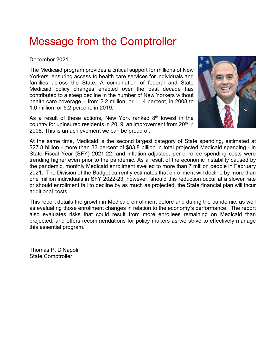## Message from the Comptroller

## December 2021

The Medicaid program provides a critical support for millions of New Yorkers, ensuring access to health care services for individuals and families across the State. A combination of federal and State Medicaid policy changes enacted over the past decade has contributed to a steep decline in the number of New Yorkers without health care coverage – from 2.2 million, or 11.4 percent, in 2008 to 1.0 million, or 5.2 percent, in 2019.

As a result of these actions, New York ranked  $8<sup>th</sup>$  lowest in the country for uninsured residents in 2019, an improvement from 20<sup>th</sup> in 2008. This is an achievement we can be proud of.



At the same time, Medicaid is the second largest category of State spending, estimated at \$27.8 billion - more than 33 percent of \$83.8 billion in total projected Medicaid spending - in State Fiscal Year (SFY) 2021-22, and inflation-adjusted, per-enrollee spending costs were trending higher even prior to the pandemic. As a result of the economic instability caused by the pandemic, monthly Medicaid enrollment swelled to more than 7 million people in February 2021. The Division of the Budget currently estimates that enrollment will decline by more than one million individuals in SFY 2022-23; however, should this reduction occur at a slower rate or should enrollment fail to decline by as much as projected, the State financial plan will incur additional costs.

This report details the growth in Medicaid enrollment before and during the pandemic, as well as evaluating those enrollment changes in relation to the economy's performance. The report also evaluates risks that could result from more enrollees remaining on Medicaid than projected, and offers recommendations for policy makers as we strive to effectively manage this essential program.

Thomas P. DiNapoli State Comptroller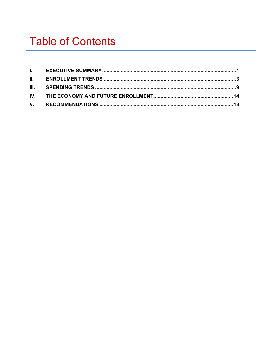## **Table of Contents**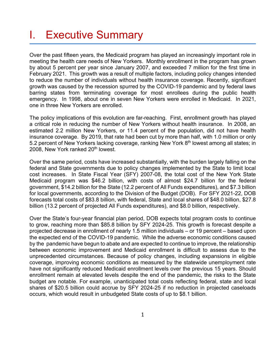## <span id="page-6-0"></span>I. Executive Summary

Over the past fifteen years, the Medicaid program has played an increasingly important role in meeting the health care needs of New Yorkers. Monthly enrollment in the program has grown by about 5 percent per year since January 2007, and exceeded 7 million for the first time in February 2021. This growth was a result of multiple factors, including policy changes intended to reduce the number of individuals without health insurance coverage. Recently, significant growth was caused by the recession spurred by the COVID-19 pandemic and by federal laws barring states from terminating coverage for most enrollees during the public health emergency. In 1998, about one in seven New Yorkers were enrolled in Medicaid. In 2021, one in three New Yorkers are enrolled.

The policy implications of this evolution are far-reaching. First, enrollment growth has played a critical role in reducing the number of New Yorkers without health insurance. In 2008, an estimated 2.2 million New Yorkers, or 11.4 percent of the population, did not have health insurance coverage. By 2019, that rate had been cut by more than half, with 1.0 million or only 5.2 percent of New Yorkers lacking coverage, ranking New York 8<sup>th</sup> lowest among all states; in 2008, New York ranked 20<sup>th</sup> lowest.

Over the same period, costs have increased substantially, with the burden largely falling on the federal and State governments due to policy changes implemented by the State to limit local cost increases. In State Fiscal Year (SFY) 2007-08, the total cost of the New York State Medicaid program was \$46.2 billion, with costs of almost \$24.7 billion for the federal government, \$14.2 billion for the State (12.2 percent of All Funds expenditures), and \$7.3 billion for local governments, according to the Division of the Budget (DOB). For SFY 2021-22, DOB forecasts total costs of \$83.8 billion, with federal, State and local shares of \$48.0 billion, \$27.8 billion (13.2 percent of projected All Funds expenditures), and \$8.0 billion, respectively.

Over the State's four-year financial plan period, DOB expects total program costs to continue to grow, reaching more than \$85.8 billion by SFY 2024-25. This growth is forecast despite a projected decrease in enrollment of nearly 1.5 million individuals – or 19 percent – based upon the expected end of the COVID-19 pandemic. While the adverse economic conditions caused by the pandemic have begun to abate and are expected to continue to improve, the relationship between economic improvement and Medicaid enrollment is difficult to assess due to the unprecedented circumstances. Because of policy changes, including expansions in eligible coverage, improving economic conditions as measured by the statewide unemployment rate have not significantly reduced Medicaid enrollment levels over the previous 15 years. Should enrollment remain at elevated levels despite the end of the pandemic, the risks to the State budget are notable. For example, unanticipated total costs reflecting federal, state and local shares of \$20.5 billion could accrue by SFY 2024-25 if no reduction in projected caseloads occurs, which would result in unbudgeted State costs of up to \$8.1 billion.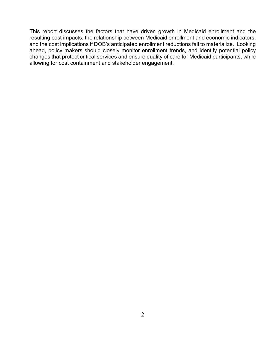This report discusses the factors that have driven growth in Medicaid enrollment and the resulting cost impacts, the relationship between Medicaid enrollment and economic indicators, and the cost implications if DOB's anticipated enrollment reductions fail to materialize. Looking ahead, policy makers should closely monitor enrollment trends, and identify potential policy changes that protect critical services and ensure quality of care for Medicaid participants, while allowing for cost containment and stakeholder engagement.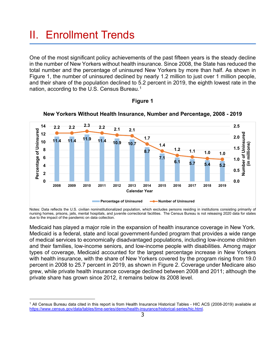## <span id="page-8-0"></span>II. Enrollment Trends

One of the most significant policy achievements of the past fifteen years is the steady decline in the number of New Yorkers without health insurance. Since 2008, the State has reduced the total number and the percentage of uninsured New Yorkers by more than half. As shown in Figure 1, the number of uninsured declined by nearly 1.2 million to just over 1 million people, and their share of the population declined to 5.2 percent in 2019, the eighth lowest rate in the nation, according to the U.S. Census Bureau. [1](#page-8-1)



**New Yorkers Without Health Insurance, Number and Percentage, 2008 - 2019**

**Figure 1**

Notes: Data reflects the U.S. civilian noninstitutionalized population, which excludes persons residing in institutions consisting primarily of nursing homes, prisons, jails, mental hospitals, and juvenile correctional facilities. The Census Bureau is not releasing 2020 data for states due to the impact of the pandemic on data collection.

Medicaid has played a major role in the expansion of health insurance coverage in New York. Medicaid is a federal, state and local government-funded program that provides a wide range of medical services to economically disadvantaged populations, including low-income children and their families, low-income seniors, and low-income people with disabilities. Among major types of coverage, Medicaid accounted for the largest percentage increase in New Yorkers with health insurance, with the share of New Yorkers covered by the program rising from 19.0 percent in 2008 to 25.7 percent in 2019, as shown in Figure 2. Coverage under Medicare also grew, while private health insurance coverage declined between 2008 and 2011; although the private share has grown since 2012, it remains below its 2008 level.

<span id="page-8-1"></span><sup>1</sup> All Census Bureau data cited in this report is from Health Insurance Historical Tables - HIC ACS (2008-2019) available at [https://www.census.gov/data/tables/time-series/demo/health-insurance/historical-series/hic.html.](https://www.census.gov/data/tables/time-series/demo/health-insurance/historical-series/hic.html)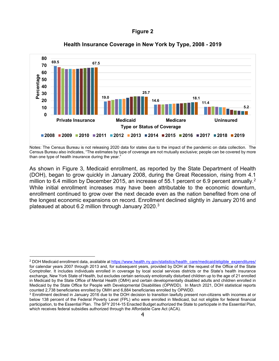

### **Health Insurance Coverage in New York by Type, 2008 - 2019**

Notes: The Census Bureau is not releasing 2020 data for states due to the impact of the pandemic on data collection. The Census Bureau also indicates, "The estimates by type of coverage are not mutually exclusive; people can be covered by more than one type of health insurance during the year."

As shown in Figure 3, Medicaid enrollment, as reported by the State Department of Health (DOH), began to grow quickly in January 2008, during the Great Recession, rising from 4.1 million to 6.4 million by December [2](#page-9-0)015, an increase of 55.1 percent or 6.9 percent annually.<sup>2</sup> While initial enrollment increases may have been attributable to the economic downturn, enrollment continued to grow over the next decade even as the nation benefited from one of the longest economic expansions on record. Enrollment declined slightly in January 2016 and plateaued at about 6.2 million through January 2020[.3](#page-9-1)

<span id="page-9-0"></span><sup>&</sup>lt;sup>2</sup> DOH Medicaid enrollment data, available a[t https://www.health.ny.gov/statistics/health\\_care/medicaid/eligible\\_expenditures/](https://www.health.ny.gov/statistics/health_care/medicaid/eligible_expenditures/) for calendar years 2007 through 2013 and, for subsequent years, provided by DOH at the request of the Office of the State Comptroller. It includes individuals enrolled in coverage by local social services districts or the State's health insurance exchange, New York State of Health, but excludes certain seriously emotionally disturbed children up to the age of 21 enrolled in Medicaid by the State Office of Mental Health (OMH) and certain developmentally disabled adults and children enrolled in Medicaid by the State Office for People with Developmental Disabilities (OPWDD). In March 2021, DOH statistical reports counted 2,738 beneficiaries enrolled by OMH and 6,884 beneficiaries enrolled by OPWDD.<br><sup>3</sup> Enrollment declined in January 2016 due to the DOH decision to transition lawfully present non-citizens with incomes at or

<span id="page-9-1"></span>below 138 percent of the Federal Poverty Level (FPL) who were enrolled in Medicaid, but not eligible for federal financial participation, to the Essential Plan. The SFY 2014-15 Enacted Budget authorized the State to participate in the Essential Plan, which receives federal subsidies authorized through the Affordable Care Act (ACA).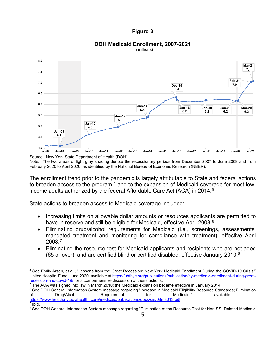#### **DOH Medicaid Enrollment, 2007-2021** (in millions)



Source: New York State Department of Health (DOH). Note: The two areas of light gray shading denote the recessionary periods from December 2007 to June 2009 and from February 2020 to April 2020, as identified by the National Bureau of Economic Research (NBER).

The enrollment trend prior to the pandemic is largely attributable to State and federal actions to broaden access to the program, $4$  and to the expansion of Medicaid coverage for most lowincome adults authorized by the federal Affordable Care Act  $(ACA)$  in 2014.<sup>[5](#page-10-1)</sup>

State actions to broaden access to Medicaid coverage included:

- Increasing limits on allowable dollar amounts or resources applicants are permitted to have in reserve and still be eligible for Medicaid, effective April 2008; $^6$  $^6$
- Eliminating drug/alcohol requirements for Medicaid (i.e., screenings, assessments, mandated treatment and monitoring for compliance with treatment), effective April 2008; [7](#page-10-3)
- Eliminating the resource test for Medicaid applicants and recipients who are not aged (65 or over), and are certified blind or certified disabled, effective January 2010;<sup>[8](#page-10-4)</sup>

<span id="page-10-0"></span><sup>4</sup> See Emily Arsen, et al., "Lessons from the Great Recession: New York Medicaid Enrollment During the COVID-19 Crisis," United Hospital Fund, June 2020, available a[t https://uhfnyc.org/publications/publication/ny-medicaid-enrollment-during-great](https://uhfnyc.org/publications/publication/ny-medicaid-enrollment-during-great-recession-and-covid-19/)[recession-and-covid-19/](https://uhfnyc.org/publications/publication/ny-medicaid-enrollment-during-great-recession-and-covid-19/) for a comprehensive discussion of these actions.

<span id="page-10-1"></span><sup>5</sup> The ACA was signed into law in March 2010; the Medicaid expansion became effective in January 2014.

<span id="page-10-2"></span><sup>&</sup>lt;sup>6</sup> See DOH General Information System message regarding "Increase in Medicaid Eligibility Resource Standards; Elimination of Drug/Alcohol Requirement for Medicaid," available at [https://www.health.ny.gov/health\\_care/medicaid/publications/docs/gis/08ma013.pdf.](https://www.health.ny.gov/health_care/medicaid/publications/docs/gis/08ma013.pdf)

 $<sup>7</sup>$  Ibid.</sup>

<span id="page-10-4"></span><span id="page-10-3"></span><sup>&</sup>lt;sup>8</sup> See DOH General Information System message regarding "Elimination of the Resource Test for Non-SSI-Related Medicaid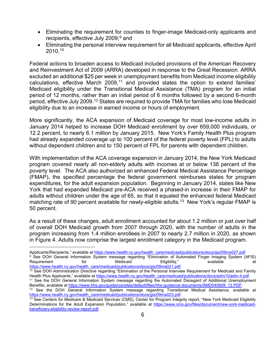- Eliminating the requirement for counties to finger-image Medicaid-only applicants and recipients, effective July 2009; [9](#page-11-0) and
- Eliminating the personal interview requirement for all Medicaid applicants, effective April 2010.[10](#page-11-1)

Federal actions to broaden access to Medicaid included provisions of the American Recovery and Reinvestment Act of 2009 (ARRA) developed in response to the Great Recession. ARRA excluded an additional \$25 per week in unemployment benefits from Medicaid income eligibility calculations, effective March 2009, [11](#page-11-2) and provided states the option to extend families' Medicaid eligibility under the Transitional Medical Assistance (TMA) program for an initial period of 12 months, rather than an initial period of 6 months followed by a second 6-month period, effective July 2009.<sup>[12](#page-11-3)</sup> States are required to provide TMA for families who lose Medicaid eligibility due to an increase in earned income or hours of employment.

More significantly, the ACA expansion of Medicaid coverage for most low-income adults in January 2014 helped to increase DOH Medicaid enrollment by over 659,000 individuals, or 12.2 percent, to nearly 6.1 million by January 2015. New York's Family Health Plus program had already expanded coverage up to 100 percent of the federal poverty level (FPL) to adults without dependent children and to 150 percent of FPL for parents with dependent children.

With implementation of the ACA coverage expansion in January 2014, the New York Medicaid program covered nearly all non-elderly adults with incomes at or below 138 percent of the poverty level. The ACA also authorized an enhanced Federal Medical Assistance Percentage (FMAP), the specified percentage the federal government reimburses states for program expenditures, for the adult expansion population. Beginning in January 2014, states like New York that had expanded Medicaid pre-ACA received a phased-in increase in their FMAP for adults without children under the age of 65, so that it equaled the enhanced federal Medicaid matching rate of 90 percent available for newly-eligible adults.<sup>13</sup> New York's regular FMAP is 50 percent.

As a result of these changes, adult enrollment accounted for about 1.2 million or just over half of overall DOH Medicaid growth from 2007 through 2020, with the number of adults in the program increasing from 1.4 million enrollees in 2007 to nearly 2.7 million in 2020, as shown in Figure 4. Adults now comprise the largest enrollment category in the Medicaid program.

<span id="page-11-1"></span>[https://www.health.ny.gov/health\\_care/medicaid/publications/docs/gis/09ma021.pdf.](https://www.health.ny.gov/health_care/medicaid/publications/docs/gis/09ma021.pdf)  $10$  See DOH Administration Directive regarding "Elimination of the Personal Interview Requirement for Medicaid and Family Health Plus Applicants," available at [https://www.health.ny.gov/health\\_care/medicaid/publications/docs/adm/10adm-4.pdf.](https://www.health.ny.gov/health_care/medicaid/publications/docs/adm/10adm-4.pdf)

<span id="page-11-0"></span>Applicants/Recipients," available at [https://www.health.ny.gov/health\\_care/medicaid/publications/docs/gis/09ma027.pdf.](https://www.health.ny.gov/health_care/medicaid/publications/docs/gis/09ma027.pdf) <sup>9</sup> See DOH General Information System message regarding "Elimination of Automated Finger Imaging System (AFIS) Requirement for Medicaid Eligibility," available at

<span id="page-11-2"></span><sup>&</sup>lt;sup>11</sup> See the DOH General Information System message regarding the Automated Disregard of Additional Unemployment Benefits, available at [https://www.hhs.gov/guidance/sites/default/files/hhs-guidance-documents/SMD040609\\_12.PDF.](https://www.hhs.gov/guidance/sites/default/files/hhs-guidance-documents/SMD040609_12.PDF)

<span id="page-11-3"></span> $12$  See the DOH General Information System message regarding Transitional Medical Assistance, available at [https://www.health.ny.gov/health\\_care/medicaid/publications/docs/gis/09ma023.pdf.](https://www.health.ny.gov/health_care/medicaid/publications/docs/gis/09ma023.pdf)

<span id="page-11-4"></span><sup>&</sup>lt;sup>13</sup> See Centers for Medicare & Medicaid Services (CMS), Center for Program Integrity report, "New York Medicaid Eligibility Determinations for the Adult Expansion Population," available at [https://www.cms.gov/files/document/new-york-medicaid](https://www.cms.gov/files/document/new-york-medicaid-beneficiary-eligibility-review-report.pdf)[beneficiary-eligibility-review-report.pdf.](https://www.cms.gov/files/document/new-york-medicaid-beneficiary-eligibility-review-report.pdf)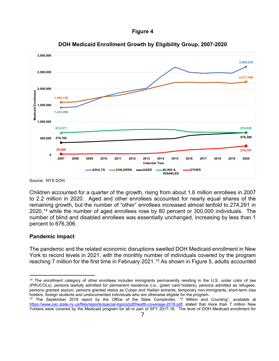



**DOH Medicaid Enrollment Growth by Eligibility Group, 2007-2020**

Children accounted for a quarter of the growth, rising from about 1.6 million enrollees in 2007 to 2.2 million in 2020. Aged and other enrollees accounted for nearly equal shares of the remaining growth, but the number of "other" enrollees increased almost tenfold to 274,291 in 2020, [14](#page-12-0) while the number of aged enrollees rose by 80 percent or 300,000 individuals. The number of blind and disabled enrollees was essentially unchanged, increasing by less than 1 percent to 676,306.

## **Pandemic Impact**

The pandemic and the related economic disruptions swelled DOH Medicaid enrollment in New York to record levels in 2021, with the monthly number of individuals covered by the program reaching 7 million for the first time in February 2021.<sup>[15](#page-12-1)</sup> As shown in Figure 5, adults accounted

Source: NYS DOH.

<span id="page-12-0"></span><sup>&</sup>lt;sup>14</sup> The enrollment category of other enrollees includes immigrants permanently residing in the U.S. under color of law (PRUCOLs), persons lawfully admitted for permanent residence (i.e., green card holders), persons admitted as refugees, persons granted asylum, persons granted status as Cuban and Haitian entrants, temporary non-immigrants, short-term visa holders, foreign students and undocumented individuals who are otherwise eligible for the program.

<span id="page-12-1"></span><sup>&</sup>lt;sup>15</sup> The September 2018 report by the Office of the State Comptroller, "7 Million and Counting", available at [https://www.osc.state.ny.us/files/reports/special-topics/pdf/health-coverage-2018.pdf,](https://www.osc.state.ny.us/files/reports/special-topics/pdf/health-coverage-2018.pdf) stated that more than 7 million New Yorkers were covered by the Medicaid program for all or part of SFY 2017-18. The level of DOH Medicaid enrollment for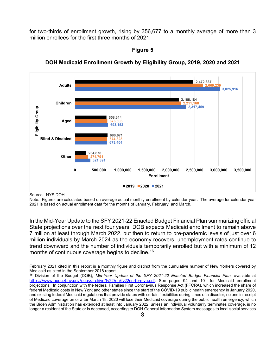for two-thirds of enrollment growth, rising by 356,677 to a monthly average of more than 3 million enrollees for the first three months of 2021.



**DOH Medicaid Enrollment Growth by Eligibility Group, 2019, 2020 and 2021**

**Figure 5**

Source: NYS DOH.

Note: Figures are calculated based on average actual monthly enrollment by calendar year. The average for calendar year 2021 is based on actual enrollment data for the months of January, February, and March.

In the Mid-Year Update to the SFY 2021-22 Enacted Budget Financial Plan summarizing official State projections over the next four years, DOB expects Medicaid enrollment to remain above 7 million at least through March 2022, but then to return to pre-pandemic levels of just over 6 million individuals by March 2024 as the economy recovers, unemployment rates continue to trend downward and the number of individuals temporarily enrolled but with a minimum of 12 months of continuous coverage begins to decline.<sup>[16](#page-13-0)</sup>

February 2021 cited in this report is a monthly figure and distinct from the cumulative number of New Yorkers covered by Medicaid as cited in the September 2018 report.

<span id="page-13-0"></span><sup>16</sup> Division of the Budget (DOB), *Mid-Year Update of the SFY 2021-22 Enacted Budget Financial Plan*, available at <https://www.budget.ny.gov/pubs/archive/fy22/en/fy22en-fp-myu.pdf>. See pages 94 and 101 for Medicaid enrollment projections. In conjunction with the federal Families First Coronavirus Response Act (FFCRA), which increased the share of federal Medicaid costs in New York and other states since the start of the COVID-19 public health emergency in January 2020, and existing federal Medicaid regulations that provide states with certain flexibilities during times of a disaster, no one in receipt of Medicaid coverage on or after March 18, 2020 will lose their Medicaid coverage during the public health emergency, which the Biden Administration has extended at least into January 2022, unless an individual voluntarily terminates coverage, is no longer a resident of the State or is deceased, according to DOH General Information System messages to local social services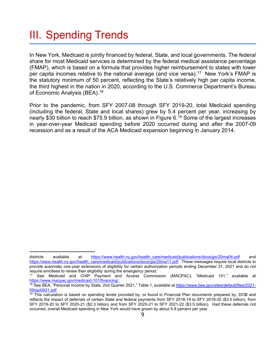## <span id="page-14-0"></span>III. Spending Trends

In New York, Medicaid is jointly financed by federal, State, and local governments. The federal share for most Medicaid services is determined by the federal medical assistance percentage (FMAP), which is based on a formula that provides higher reimbursement to states with lower per capita incomes relative to the national average (and vice versa).<sup>17</sup> New York's FMAP is the statutory minimum of 50 percent, reflecting the State's relatively high per capita income, the third highest in the nation in 2020, according to the U.S. Commerce Department's Bureau of Economic Analysis (BEA).<sup>[18](#page-14-2)</sup>

Prior to the pandemic, from SFY 2007-08 through SFY 2019-20, total Medicaid spending (including the federal, State and local shares) grew by 5.4 percent per year, increasing by nearly \$30 billion to reach \$75.9 billion, as shown in Figure 6.<sup>[19](#page-14-3)</sup> Some of the largest increases in year-over-year Medicaid spending before 2020 occurred during and after the 2007-09 recession and as a result of the ACA Medicaid expansion beginning in January 2014.

districts available at [https://www.health.ny.gov/health\\_care/medicaid/publications/docs/gis/20ma04.pdf](https://www.health.ny.gov/health_care/medicaid/publications/docs/gis/20ma04.pdf) and [https://www.health.ny.gov/health\\_care/medicaid/publications/docs/gis/20ma11.pdf.](https://www.health.ny.gov/health_care/medicaid/publications/docs/gis/20ma11.pdf) These messages require local districts to provide automatic one-year extensions of eligibility for certain authorization periods ending December 31, 2021 and do not require enrollees to renew their eligibility during the emergency period.<br><sup>17</sup> See Medicaid and CHIP Payment, and Access Commis

<span id="page-14-1"></span><sup>17</sup> See Medicaid and CHIP Payment and Access Commission (MACPAC), "Medicaid 101," available at [https://www.macpac.gov/medicaid-101/financing/.](https://www.macpac.gov/medicaid-101/financing/)

<span id="page-14-2"></span><sup>18</sup> See BEA, "Personal Income by State, 2nd Quarter 2021," Table 1, available at [https://www.bea.gov/sites/default/files/2021-](https://www.bea.gov/sites/default/files/2021-09/spi0921.pdf) [09/spi0921.pdf.](https://www.bea.gov/sites/default/files/2021-09/spi0921.pdf)

<span id="page-14-3"></span> $19$  This calculation is based on spending levels provided by, or found in Financial Plan documents prepared by, DOB and reflects the impact of deferrals of certain State and federal payments from SFY 2018-19 to SFY 2019-20 (\$3.5 billion), from SFY 2019-20 to SFY 2020-21 (\$2.3 billion) and from SFY 2020-21 to SFY 2021-22 (\$3.5 billion). Had these deferrals not occurred, overall Medicaid spending in New York would have grown by about 5.8 percent per year.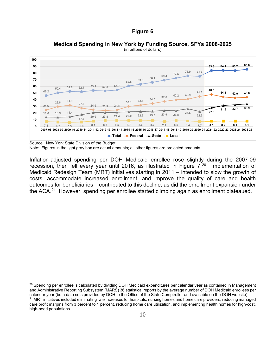

**Medicaid Spending in New York by Funding Source, SFYs 2008-2025** (in billions of dollars)

Source: New York State Division of the Budget.

Note: Figures in the light gray box are actual amounts; all other figures are projected amounts.

Inflation-adjusted spending per DOH Medicaid enrollee rose slightly during the 2007-09 recession, then fell every year until [20](#page-15-0)16, as illustrated in Figure 7.<sup>20</sup> Implementation of Medicaid Redesign Team (MRT) initiatives starting in 2011 – intended to slow the growth of costs, accommodate increased enrollment, and improve the quality of care and health outcomes for beneficiaries – contributed to this decline, as did the enrollment expansion under the ACA.<sup>[21](#page-15-1)</sup> However, spending per enrollee started climbing again as enrollment plateaued.

<span id="page-15-1"></span><span id="page-15-0"></span> $20$  Spending per enrollee is calculated by dividing DOH Medicaid expenditures per calendar year as contained in Management and Administrative Reporting Subsystem (MARS) 36 statistical reports by the average number of DOH Medicaid enrollees per calendar year (both data sets provided by DOH to the Office of the State Comptroller and available on the DOH website). <sup>21</sup> MRT initiatives included eliminating rate increases for hospitals, nursing homes and home care providers, reducing managed care profit margins from 3 percent to 1 percent, reducing home care utilization, and implementing health homes for high-cost, high-need populations.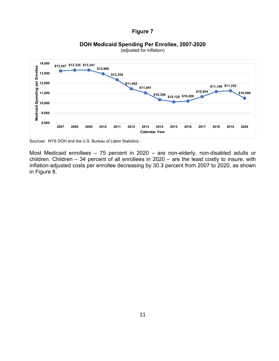



(adjusted for inflation)

Sources: NYS DOH and the U.S. Bureau of Labor Statistics.

Most Medicaid enrollees – 75 percent in 2020 – are non-elderly, non-disabled adults or children. Children – 34 percent of all enrollees in 2020 – are the least costly to insure, with inflation-adjusted costs per enrollee decreasing by 30.3 percent from 2007 to 2020, as shown in Figure 8.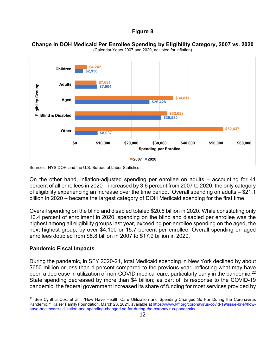

**Change in DOH Medicaid Per Enrollee Spending by Eligibility Category, 2007 vs. 2020** (Calendar Years 2007 and 2020, adjusted for inflation)

On the other hand, inflation-adjusted spending per enrollee on adults – accounting for 41 percent of all enrollees in 2020 – increased by 3.6 percent from 2007 to 2020, the only category of eligibility experiencing an increase over the time period. Overall spending on adults – \$21.1 billion in 2020 – became the largest category of DOH Medicaid spending for the first time.

Overall spending on the blind and disabled totaled \$20.6 billion in 2020. While constituting only 10.4 percent of enrollment in 2020, spending on the blind and disabled per enrollee was the highest among all eligibility groups last year, exceeding per-enrollee spending on the aged, the next highest group, by over \$4,100 or 15.7 percent per enrollee. Overall spending on aged enrollees doubled from \$8.8 billion in 2007 to \$17.9 billion in 2020.

#### **Pandemic Fiscal Impacts**

During the pandemic, in SFY 2020-21, total Medicaid spending in New York declined by about \$650 million or less than 1 percent compared to the previous year, reflecting what may have been a decrease in utilization of non-COVID medical care, particularly early in the pandemic.<sup>[22](#page-17-0)</sup> State spending decreased by more than \$4 billion; as part of its response to the COVID-19 pandemic, the federal government increased its share of funding for most services provided by

Sources: NYS DOH and the U.S. Bureau of Labor Statistics.

<span id="page-17-0"></span> $22$  See Cynthia Cox, et al.,, "How Have Health Care Utilization and Spending Changed So Far During the Coronavirus Pandemic?" Kaiser Family Foundation, March 23, 2021, available a[t https://www.kff.org/coronavirus-covid-19/issue-brief/how](https://www.kff.org/coronavirus-covid-19/issue-brief/how-have-healthcare-utilization-and-spending-changed-so-far-during-the-coronavirus-pandemic/)[have-healthcare-utilization-and-spending-changed-so-far-during-the-coronavirus-pandemic/.](https://www.kff.org/coronavirus-covid-19/issue-brief/how-have-healthcare-utilization-and-spending-changed-so-far-during-the-coronavirus-pandemic/)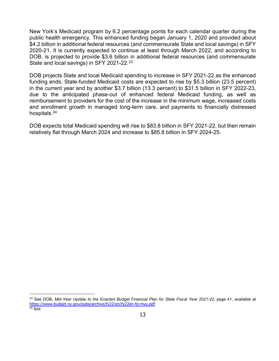New York's Medicaid program by 6.2 percentage points for each calendar quarter during the public health emergency. This enhanced funding began January 1, 2020 and provided about \$4.2 billion in additional federal resources (and commensurate State and local savings) in SFY 2020-21. It is currently expected to continue at least through March 2022, and according to DOB, is projected to provide \$3.6 billion in additional federal resources (and commensurate State and local savings) in SFY 2021-22.<sup>[23](#page-18-0)</sup>

DOB projects State and local Medicaid spending to increase in SFY 2021-22 as the enhanced funding ends. State-funded Medicaid costs are expected to rise by \$5.3 billion (23.5 percent) in the current year and by another \$3.7 billion (13.3 percent) to \$31.5 billion in SFY 2022-23, due to the anticipated phase-out of enhanced federal Medicaid funding, as well as reimbursement to providers for the cost of the increase in the minimum wage, increased costs and enrollment growth in managed long-term care, and payments to financially distressed hospitals.<sup>[24](#page-18-1)</sup>

DOB expects total Medicaid spending will rise to \$83.8 billion in SFY 2021-22, but then remain relatively flat through March 2024 and increase to \$85.8 billion in SFY 2024-25.

<span id="page-18-1"></span><span id="page-18-0"></span><sup>23</sup> See DOB, *Mid-Year Update to the Enacted Budget Financial Plan for State Fiscal Year 2021-22*, page 41, available at <https://www.budget.ny.gov/pubs/archive/fy22/en/fy22en-fp-myu.pdf>.  $24$  Ibid.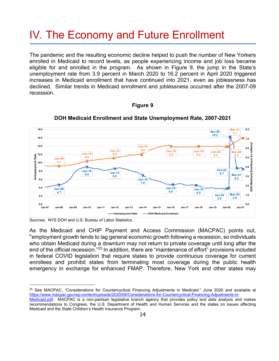## <span id="page-19-0"></span>IV. The Economy and Future Enrollment

The pandemic and the resulting economic decline helped to push the number of New Yorkers enrolled in Medicaid to record levels, as people experiencing income and job loss became eligible for and enrolled in the program. As shown in Figure 9, the jump in the State's unemployment rate from 3.9 percent in March 2020 to 16.2 percent in April 2020 triggered increases in Medicaid enrollment that have continued into 2021, even as joblessness has declined. Similar trends in Medicaid enrollment and joblessness occurred after the 2007-09 recession.

#### **Figure 9**



**DOH Medicaid Enrollment and State Unemployment Rate, 2007-2021**

As the Medicaid and CHIP Payment and Access Commission (MACPAC) points out, "employment growth tends to lag general economic growth following a recession, so individuals who obtain Medicaid during a downturn may not return to private coverage until long after the end of the official recession."[25](#page-19-1) In addition, there are "maintenance of effort" provisions included in federal COVID legislation that require states to provide continuous coverage for current enrollees and prohibit states from terminating most coverage during the public health emergency in exchange for enhanced FMAP. Therefore, New York and other states may

Sources: NYS DOH and U.S. Bureau of Labor Statistics.

<span id="page-19-1"></span><sup>&</sup>lt;sup>25</sup> See MACPAC, "Considerations for Countercyclical Financing Adjustments in Medicaid," June 2020 and available at [https://www.macpac.gov/wp-content/uploads/2020/06/Considerations-for-Countercyclical-Financing-Adjustments-in-](https://www.macpac.gov/wp-content/uploads/2020/06/Considerations-for-Countercyclical-Financing-Adjustments-in-Medicaid.pdf)

[Medicaid.pdf.](https://www.macpac.gov/wp-content/uploads/2020/06/Considerations-for-Countercyclical-Financing-Adjustments-in-Medicaid.pdf) MACPAC is a non-partisan legislative branch agency that provides policy and data analysis and makes recommendations to Congress, the U.S. Department of Health and Human Services and the states on issues affecting Medicaid and the State Children's Health Insurance Program.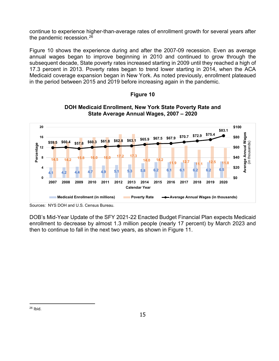continue to experience higher-than-average rates of enrollment growth for several years after the pandemic recession. [26](#page-20-0)

Figure 10 shows the experience during and after the 2007-09 recession. Even as average annual wages began to improve beginning in 2010 and continued to grow through the subsequent decade, State poverty rates increased starting in 2009 until they reached a high of 17.3 percent in 2013. Poverty rates began to trend lower starting in 2014, when the ACA Medicaid coverage expansion began in New York. As noted previously, enrollment plateaued in the period between 2015 and 2019 before increasing again in the pandemic.

### **Figure 10**





DOB's Mid-Year Update of the SFY 2021-22 Enacted Budget Financial Plan expects Medicaid enrollment to decrease by almost 1.3 million people (nearly 17 percent) by March 2023 and then to continue to fall in the next two years, as shown in Figure 11.

<span id="page-20-0"></span> $26$  Ibid.

Sources: NYS DOH and U.S. Census Bureau.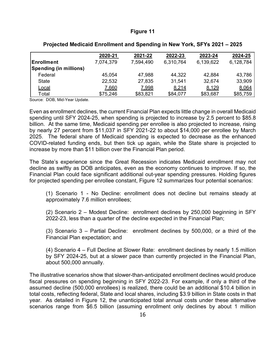|                               | 2020-21   | 2021-22   | 2022-23   | 2023-24      | 2024-25   |
|-------------------------------|-----------|-----------|-----------|--------------|-----------|
| Enrollment                    | 7,074,379 | 7,594,490 | 6,310,764 | 6,139,622    | 6,128,784 |
| <b>Spending (in millions)</b> |           |           |           |              |           |
| Federal                       | 45,054    | 47,988    | 44,322    | 42,884       | 43,786    |
| <b>State</b>                  | 22,532    | 27,835    | 31,541    | 32,674       | 33,909    |
| <u>Local</u>                  | 7,660     | 7,998     | 8,214     | <u>8,129</u> | 8,064     |
| Total                         | \$75,246  | \$83,821  | \$84,077  | \$83,687     | \$85,759  |

#### **Projected Medicaid Enrollment and Spending in New York, SFYs 2021 – 2025**

Source: DOB, Mid-Year Update.

Even as enrollment declines, the current Financial Plan expects little change in overall Medicaid spending until SFY 2024-25, when spending is projected to increase by 2.5 percent to \$85.8 billion. At the same time, Medicaid spending per enrollee is also projected to increase, rising by nearly 27 percent from \$11,037 in SFY 2021-22 to about \$14,000 per enrollee by March 2025. The federal share of Medicaid spending is expected to decrease as the enhanced COVID-related funding ends, but then tick up again, while the State share is projected to increase by more than \$11 billion over the Financial Plan period.

The State's experience since the Great Recession indicates Medicaid enrollment may not decline as swiftly as DOB anticipates, even as the economy continues to improve. If so, the Financial Plan could face significant additional out-year spending pressures. Holding figures for projected spending per enrollee constant, Figure 12 summarizes four potential scenarios:

(1) Scenario 1 - No Decline: enrollment does not decline but remains steady at approximately 7.6 million enrollees;

(2) Scenario 2 – Modest Decline: enrollment declines by 250,000 beginning in SFY 2022-23, less than a quarter of the decline expected in the Financial Plan;

(3) Scenario 3 – Partial Decline: enrollment declines by 500,000, or a third of the Financial Plan expectation; and

(4) Scenario 4 – Full Decline at Slower Rate: enrollment declines by nearly 1.5 million by SFY 2024-25, but at a slower pace than currently projected in the Financial Plan, about 500,000 annually.

The illustrative scenarios show that slower-than-anticipated enrollment declines would produce fiscal pressures on spending beginning in SFY 2022-23. For example, if only a third of the assumed decline (500,000 enrollees) is realized, there could be an additional \$10.4 billion in total costs, reflecting federal, State and local shares, including \$3.9 billion in State costs in that year. As detailed in Figure 12, the unanticipated total annual costs under these alternative scenarios range from \$6.5 billion (assuming enrollment only declines by about 1 million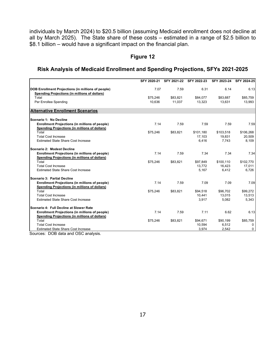individuals by March 2024) to \$20.5 billion (assuming Medicaid enrollment does not decline at all by March 2025). The State share of these costs – estimated in a range of \$2.5 billion to \$8.1 billion – would have a significant impact on the financial plan.

## **Figure 12**

### **Risk Analysis of Medicaid Enrollment and Spending Projections, SFYs 2021-2025**

|                                                           | SFY 2020-21 | SFY 2021-22 | SFY 2022-23 | SFY 2023-24 | SFY 2024-25 |
|-----------------------------------------------------------|-------------|-------------|-------------|-------------|-------------|
| <b>DOB Enrollment Projections (in millions of people)</b> | 7.07        | 7.59        | 6.31        | 6.14        | 6.13        |
| Spending Projections (in millions of dollars)             |             |             |             |             |             |
| Total                                                     | \$75,246    | \$83,821    | \$84,077    | \$83,687    | \$85,759    |
| Per Enrollee Spending                                     | 10,636      | 11,037      | 13,323      | 13,631      | 13,993      |
| <b>Alternative Enrollment Scenarios</b>                   |             |             |             |             |             |
| Scenario 1: No Decline                                    |             |             |             |             |             |
| <b>Enrollment Projections (in millions of people)</b>     | 7.14        | 7.59        | 7.59        | 7.59        | 7.59        |
| Spending Projections (in millions of dollars)             |             |             |             |             |             |
| Total                                                     | \$75,246    | \$83,821    | \$101,180   | \$103,518   | \$106,268   |
| <b>Total Cost Increase</b>                                |             |             | 17,103      | 19,831      | 20,509      |
| <b>Estimated State Share Cost Increase</b>                |             |             | 6,416       | 7,743       | 8,109       |
| Scenario 2: Modest Decline                                |             |             |             |             |             |
| <b>Enrollment Projections (in millions of people)</b>     | 7.14        | 7.59        | 7.34        | 7.34        | 7.34        |
| <b>Spending Projections (in millions of dollars)</b>      |             |             |             |             |             |
| Total                                                     | \$75,246    | \$83.821    | \$97,849    | \$100,110   | \$102,770   |
| <b>Total Cost Increase</b>                                |             |             | 13,772      | 16,423      | 17,011      |
| <b>Estimated State Share Cost Increase</b>                |             |             | 5,167       | 6,412       | 6,726       |
| Scenario 3: Partial Decline                               |             |             |             |             |             |
| <b>Enrollment Projections (in millions of people)</b>     | 7.14        | 7.59        | 7.09        | 7.09        | 7.09        |
| Spending Projections (in millions of dollars)             |             |             |             |             |             |
| Total                                                     | \$75,246    | \$83,821    | \$94,518    | \$96,702    | \$99,272    |
| <b>Total Cost Increase</b>                                |             |             | 10,441      | 13,015      | 13,513      |
| <b>Estimated State Share Cost Increase</b>                |             |             | 3,917       | 5,082       | 5,343       |
| Scenario 4: Full Decline at Slower Rate                   |             |             |             |             |             |
| <b>Enrollment Projections (in millions of people)</b>     | 7.14        | 7.59        | 7.11        | 6.62        | 6.13        |
| Spending Projections (in millions of dollars)             |             |             |             |             |             |
| Total                                                     | \$75,246    | \$83,821    | \$94,671    | \$90,199    | \$85,759    |
| <b>Total Cost Increase</b>                                |             |             | 10,594      | 6,512       | 0           |
| <b>Estimated State Share Cost Increase</b>                |             |             | 3,974       | 2,542       | 0           |

Sources: DOB data and OSC analysis.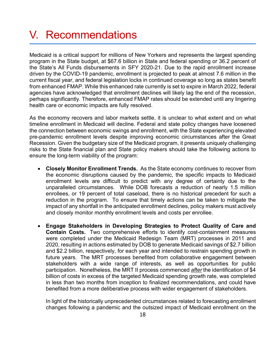## <span id="page-23-0"></span>V. Recommendations

Medicaid is a critical support for millions of New Yorkers and represents the largest spending program in the State budget, at \$67.6 billion in State and federal spending or 36.2 percent of the State's All Funds disbursements in SFY 2020-21. Due to the rapid enrollment increase driven by the COVID-19 pandemic, enrollment is projected to peak at almost 7.6 million in the current fiscal year, and federal legislation locks in continued coverage so long as states benefit from enhanced FMAP. While this enhanced rate currently is set to expire in March 2022, federal agencies have acknowledged that enrollment declines will likely lag the end of the recession, perhaps significantly. Therefore, enhanced FMAP rates should be extended until any lingering health care or economic impacts are fully resolved.

As the economy recovers and labor markets settle, it is unclear to what extent and on what timeline enrollment in Medicaid will decline. Federal and state policy changes have loosened the connection between economic swings and enrollment, with the State experiencing elevated pre-pandemic enrollment levels despite improving economic circumstances after the Great Recession. Given the budgetary size of the Medicaid program, it presents uniquely challenging risks to the State financial plan and State policy makers should take the following actions to ensure the long-term viability of the program:

- **Closely Monitor Enrollment Trends.** As the State economy continues to recover from the economic disruptions caused by the pandemic, the specific impacts to Medicaid enrollment levels are difficult to predict with any degree of certainty due to the unparalleled circumstances. While DOB forecasts a reduction of nearly 1.5 million enrollees, or 19 percent of total caseload, there is no historical precedent for such a reduction in the program. To ensure that timely actions can be taken to mitigate the impact of any shortfall in the anticipated enrollment declines, policy makers must actively and closely monitor monthly enrollment levels and costs per enrollee.
- **Engage Stakeholders in Developing Strategies to Protect Quality of Care and Contain Costs.** Two comprehensive efforts to identify cost-containment measures were completed under the Medicaid Redesign Team (MRT) processes in 2011 and 2020, resulting in actions estimated by DOB to generate Medicaid savings of \$2.7 billion and \$2.2 billion, respectively, for each year and intended to restrain spending growth in future years. The MRT processes benefited from collaborative engagement between stakeholders with a wide range of interests, as well as opportunities for public participation. Nonetheless, the MRT II process commenced *after* the identification of \$4 billion of costs in excess of the targeted Medicaid spending growth rate, was completed in less than two months from inception to finalized recommendations, and could have benefited from a more deliberative process with wider engagement of stakeholders.

In light of the historically unprecedented circumstances related to forecasting enrollment changes following a pandemic and the outsized impact of Medicaid enrollment on the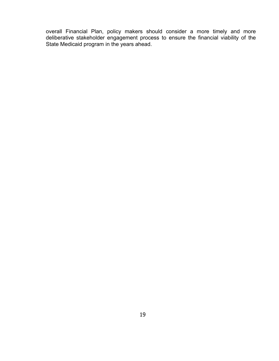overall Financial Plan, policy makers should consider a more timely and more deliberative stakeholder engagement process to ensure the financial viability of the State Medicaid program in the years ahead.